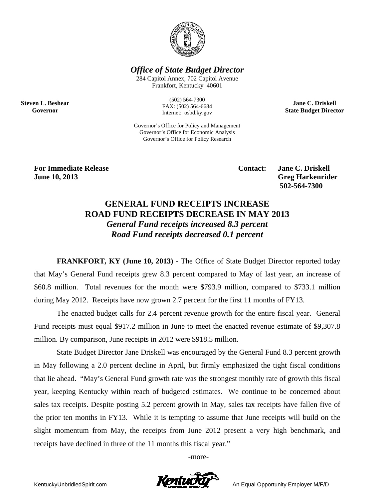

**Office of State Budget Director** 

284 Capitol Annex, 702 Capitol Avenue Frankfort, Kentucky 40601

> $(502) 564 - 7300$ FAX: (502) 564-6684 Internet: osbd.ky.gov

Governor's Office for Policy and Management Governor's Office for Economic Analysis Governor's Office for Policy Research

**Jane C. Driskell State Budget Director** 

**For Immediate Release** June 10, 2013

**Steven L. Beshear** 

Governor

**Contact:** 

**Jane C. Driskell Greg Harkenrider** 502-564-7300

## **GENERAL FUND RECEIPTS INCREASE ROAD FUND RECEIPTS DECREASE IN MAY 2013 General Fund receipts increased 8.3 percent** Road Fund receipts decreased 0.1 percent

**FRANKFORT, KY (June 10, 2013)** - The Office of State Budget Director reported today that May's General Fund receipts grew 8.3 percent compared to May of last year, an increase of \$60.8 million. Total revenues for the month were \$793.9 million, compared to \$733.1 million during May 2012. Receipts have now grown 2.7 percent for the first 11 months of FY13.

The enacted budget calls for 2.4 percent revenue growth for the entire fiscal year. General Fund receipts must equal \$917.2 million in June to meet the enacted revenue estimate of \$9,307.8 million. By comparison, June receipts in 2012 were \$918.5 million.

State Budget Director Jane Driskell was encouraged by the General Fund 8.3 percent growth in May following a 2.0 percent decline in April, but firmly emphasized the tight fiscal conditions that lie ahead. "May's General Fund growth rate was the strongest monthly rate of growth this fiscal year, keeping Kentucky within reach of budgeted estimates. We continue to be concerned about sales tax receipts. Despite posting 5.2 percent growth in May, sales tax receipts have fallen five of the prior ten months in FY13. While it is tempting to assume that June receipts will build on the slight momentum from May, the receipts from June 2012 present a very high benchmark, and receipts have declined in three of the 11 months this fiscal year."

-more-



An Equal Opportunity Employer M/F/D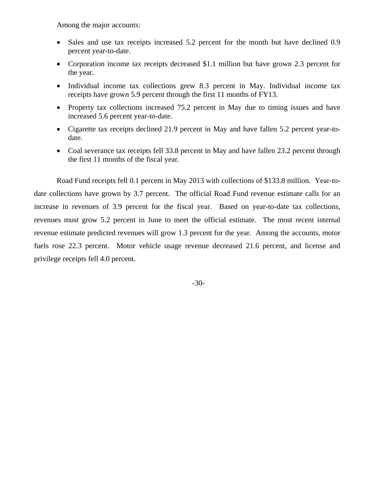Among the major accounts:

- Sales and use tax receipts increased 5.2 percent for the month but have declined 0.9 percent year-to-date.
- Corporation income tax receipts decreased \$1.1 million but have grown 2.3 percent for the year.
- Individual income tax collections grew 8.3 percent in May. Individual income tax receipts have grown 5.9 percent through the first 11 months of FY13.
- Property tax collections increased 75.2 percent in May due to timing issues and have increased 5.6 percent year-to-date.
- Cigarette tax receipts declined 21.9 percent in May and have fallen 5.2 percent year-todate.
- Coal severance tax receipts fell 33.8 percent in May and have fallen 23.2 percent through the first 11 months of the fiscal year.

Road Fund receipts fell 0.1 percent in May 2013 with collections of \$133.8 million. Year-todate collections have grown by 3.7 percent. The official Road Fund revenue estimate calls for an increase in revenues of 3.9 percent for the fiscal year. Based on year-to-date tax collections, revenues must grow 5.2 percent in June to meet the official estimate. The most recent internal revenue estimate predicted revenues will grow 1.3 percent for the year. Among the accounts, motor fuels rose 22.3 percent. Motor vehicle usage revenue decreased 21.6 percent, and license and privilege receipts fell 4.0 percent.

-30-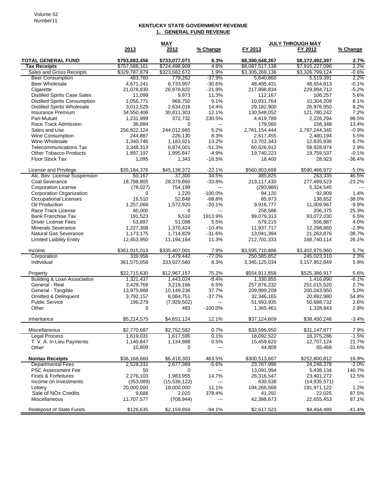## **KENTUCKY STATE GOVERNMENT REVENUE 1. GENERAL FUND REVENUE**

|                                                          | <b>MAY</b>    |                          |                                                                                                                                                                                                                                                                                                                                                                                              | <b>JULY THROUGH MAY</b>   |                         |               |
|----------------------------------------------------------|---------------|--------------------------|----------------------------------------------------------------------------------------------------------------------------------------------------------------------------------------------------------------------------------------------------------------------------------------------------------------------------------------------------------------------------------------------|---------------------------|-------------------------|---------------|
|                                                          | 2013          | 2012                     | % Change                                                                                                                                                                                                                                                                                                                                                                                     | FY 2013                   | FY 2012                 | % Change      |
| <b>TOTAL GENERAL FUND</b>                                | \$793,883,456 | \$733,077,071            | 8.3%                                                                                                                                                                                                                                                                                                                                                                                         | \$8,390,648,267           | \$8,172,492,397         | 2.7%          |
| <b>Tax Receipts</b>                                      | \$757,588,161 | \$724,498,909            | 4.6%                                                                                                                                                                                                                                                                                                                                                                                         | \$8,087,517,138           | \$7,915,227,096         | 2.2%          |
| Sales and Gross Receipts                                 | \$329,787,879 | \$323,582,672            | 1.9%                                                                                                                                                                                                                                                                                                                                                                                         | \$3,305,269,136           | \$3,326,799,124         | -0.6%         |
| <b>Beer Consumption</b>                                  | 483,760       | 779,262                  | $-37.9%$                                                                                                                                                                                                                                                                                                                                                                                     | 5,640,860                 | 5,519,391               | 2.2%          |
| <b>Beer Wholesale</b>                                    | 4.671.241     | 6,733,907                | $-30.6%$                                                                                                                                                                                                                                                                                                                                                                                     | 48,495,431                | 48,554,813              | $-0.1%$       |
| Cigarette                                                | 21,078,830    | 26,978,822               | $-21.9%$                                                                                                                                                                                                                                                                                                                                                                                     | 217,898,834               | 229,894,712             | $-5.2%$       |
| <b>Distilled Spirits Case Sales</b>                      | 11,099        | 9,973                    | 11.3%                                                                                                                                                                                                                                                                                                                                                                                        | 112,167                   | 106,257                 | 5.6%          |
| <b>Distilled Spirits Consumption</b>                     | 1,056,771     | 968,750                  | 9.1%                                                                                                                                                                                                                                                                                                                                                                                         | 10,931,764                | 10,304,209              | 6.1%          |
| <b>Distilled Spirits Wholesale</b>                       | 3,012,529     | 2,634,016                | 14.4%                                                                                                                                                                                                                                                                                                                                                                                        | 29,182,900                | 26,976,950              | 8.2%          |
| Insurance Premium                                        | 34,550,406    | 30,811,303               | 12.1%                                                                                                                                                                                                                                                                                                                                                                                        | 130,548,052               | 121,780,242             | 7.2%          |
| Pari-Mutuel                                              | 1,231,999     | 372,732                  | 230.5%                                                                                                                                                                                                                                                                                                                                                                                       | 4,419,789                 | 2,226,294               | 98.5%         |
| Race Track Admission                                     | 36,884        | $\Omega$                 | $---$                                                                                                                                                                                                                                                                                                                                                                                        | 179,560                   | 158,348                 | 13.4%         |
| Sales and Use                                            | 256,822,124   | 244,012,665              | 5.2%                                                                                                                                                                                                                                                                                                                                                                                         | 2,761,154,444             | 2,787,244,345           | $-0.9%$       |
| <b>Wine Consumption</b>                                  | 244,887       | 226,130                  | 8.3%                                                                                                                                                                                                                                                                                                                                                                                         | 2,617,455                 | 2,480,194               | 5.5%          |
| Wine Wholesale                                           | 1,340,746     | 1,183,921                | 13.2%                                                                                                                                                                                                                                                                                                                                                                                        | 13,702,343                | 12,835,936              | 6.7%          |
| <b>Telecommunications Tax</b>                            | 3,348,313     | 6,874,001                | $-51.3%$                                                                                                                                                                                                                                                                                                                                                                                     | 60,626,912                | 58,928,974              | 2.9%          |
| <b>Other Tobacco Products</b>                            | 1,897,197     | 1,995,847                | $-4.9%$                                                                                                                                                                                                                                                                                                                                                                                      | 19,740,223                | 19,759,537              | $-0.1%$       |
| Floor Stock Tax                                          | 1,095         | 1,343                    | $-18.5%$                                                                                                                                                                                                                                                                                                                                                                                     | 18,400                    | 28,923                  | $-36.4%$      |
| License and Privilege                                    | \$35,184,376  | \$45,138,372             | $-22.1%$                                                                                                                                                                                                                                                                                                                                                                                     | \$560.903.698             | \$590.466.972           | $-5.0%$       |
| Alc. Bev. License Suspension                             | 50,167        | 37,300                   | 34.5%                                                                                                                                                                                                                                                                                                                                                                                        | 385,825                   | 263,335                 | 46.5%         |
| Coal Severance                                           | 18,798,805    | 28,379,860               | $-33.8%$                                                                                                                                                                                                                                                                                                                                                                                     | 213,117,430               | 277,499,523             | $-23.2%$      |
| <b>Corporation License</b>                               | (78, 027)     | 754,199                  | $---$                                                                                                                                                                                                                                                                                                                                                                                        | (293, 985)                | 5,324,545               |               |
| <b>Corporation Organization</b>                          | 0             | 1,220                    | $-100.0%$                                                                                                                                                                                                                                                                                                                                                                                    | 94,120                    | 92,809                  | 1.4%          |
| <b>Occupational Licenses</b>                             | 16,510        | 52,848                   | $-68.8%$                                                                                                                                                                                                                                                                                                                                                                                     | 85,973                    | 138,652                 | $-38.0%$      |
| Oil Production                                           | 1,257,068     | 1,572,920                | $-20.1%$                                                                                                                                                                                                                                                                                                                                                                                     | 9,916,777                 | 11,009,967              | $-9.9%$       |
| Race Track License                                       | 40,000        | 0                        | $---$                                                                                                                                                                                                                                                                                                                                                                                        | 258,586                   | 206,375                 | 25.3%         |
| <b>Bank Franchise Tax</b>                                | 191,523       | 9,510                    | 1913.9%                                                                                                                                                                                                                                                                                                                                                                                      | 99,079,313                | 93,072,030              | 6.5%          |
| <b>Driver License Fees</b>                               | 53,897        | 51,098                   | 5.5%                                                                                                                                                                                                                                                                                                                                                                                         | 579,215                   | 556,887                 | 4.0%          |
| <b>Minerals Severance</b>                                | 1,227,308     | 1,370,424                | $-10.4%$                                                                                                                                                                                                                                                                                                                                                                                     | 11,937,717                | 12,298,860              | $-2.9%$       |
| Natural Gas Severance                                    | 1,173,175     | 1,714,829                | $-31.6%$                                                                                                                                                                                                                                                                                                                                                                                     | 13,041,394                | 21,263,876              | $-38.7%$      |
| <b>Limited Liability Entity</b>                          | 12,453,950    | 11,194,164               | 11.3%                                                                                                                                                                                                                                                                                                                                                                                        | 212,701,333               | 168,740,114             | 26.1%         |
| Income                                                   | \$361,915,013 | \$335,407,001            | 7.9%                                                                                                                                                                                                                                                                                                                                                                                         | \$3,595,710,886           | \$3,402,975,960         | 5.7%          |
| Corporation                                              | 339,956       | 1,479,442                | -77.0%                                                                                                                                                                                                                                                                                                                                                                                       | 250,585,852               | 245,023,310             | 2.3%          |
| Individual                                               | 361,575,058   | 333,927,560              | 8.3%                                                                                                                                                                                                                                                                                                                                                                                         | 3,345,125,034             | 3,157,952,649           | 5.9%          |
| Property                                                 | \$22,715,630  | \$12,967,157             | 75.2%                                                                                                                                                                                                                                                                                                                                                                                        | \$554,911,858             | \$525,386,917           | 5.6%          |
| Building & Loan Association                              | 1,321,437     | 1,443,024                | $-8.4%$                                                                                                                                                                                                                                                                                                                                                                                      | 1,330,855                 | 1,416,890               | $-6.1%$       |
| General - Real                                           | 3,429,769     | 3,219,166                | 6.5%                                                                                                                                                                                                                                                                                                                                                                                         | 257,876,232               | 251,015,520             | 2.7%          |
| General - Tangible                                       | 13,975,988    | 10,149,236               | 37.7%                                                                                                                                                                                                                                                                                                                                                                                        | 209,999,209<br>32,346,165 | 200,043,950             | 5.0%<br>54.8% |
| <b>Omitted &amp; Delinquent</b><br><b>Public Service</b> | 3,792,157     | 6,084,751<br>(7,929,502) | $-37.7%$<br>$\overline{a}$                                                                                                                                                                                                                                                                                                                                                                   |                           | 20,892,980              | 2.6%          |
| Other                                                    | 196,279<br>0  |                          | $-100.0%$                                                                                                                                                                                                                                                                                                                                                                                    | 51,993,935                | 50,688,732<br>1,328,843 | 2.8%          |
|                                                          |               | 483                      |                                                                                                                                                                                                                                                                                                                                                                                              | 1,365,461                 |                         |               |
| Inheritance                                              | \$5,214,575   | \$4,651,124              | 12.1%                                                                                                                                                                                                                                                                                                                                                                                        | \$37,124,609              | \$38,450,246            | $-3.4%$       |
| Miscellaneous                                            | \$2,770,687   | \$2,752,582              | 0.7%                                                                                                                                                                                                                                                                                                                                                                                         | \$33,596,950              | \$31,147,877            | 7.9%          |
| <b>Legal Process</b>                                     | 1,619,031     | 1,617,595                | 0.1%                                                                                                                                                                                                                                                                                                                                                                                         | 18,092,522                | 18,375,286              | $-1.5\%$      |
| T. V. A. In Lieu Payments                                | 1,140,847     | 1,134,988                | 0.5%                                                                                                                                                                                                                                                                                                                                                                                         | 15,459,620                | 12,707,124              | 21.7%         |
| Other                                                    | 10,809        | 0                        | $\frac{1}{2} \frac{1}{2} \frac{1}{2} \frac{1}{2} \frac{1}{2} \frac{1}{2} \frac{1}{2} \frac{1}{2} \frac{1}{2} \frac{1}{2} \frac{1}{2} \frac{1}{2} \frac{1}{2} \frac{1}{2} \frac{1}{2} \frac{1}{2} \frac{1}{2} \frac{1}{2} \frac{1}{2} \frac{1}{2} \frac{1}{2} \frac{1}{2} \frac{1}{2} \frac{1}{2} \frac{1}{2} \frac{1}{2} \frac{1}{2} \frac{1}{2} \frac{1}{2} \frac{1}{2} \frac{1}{2} \frac{$ | 44,809                    | 65,468                  | $-31.6%$      |
| <b>Nontax Receipts</b>                                   | \$36,168,660  | \$6,418,303              | 463.5%                                                                                                                                                                                                                                                                                                                                                                                       | \$300,513,607             | \$252,800,812           | 18.9%         |
| <b>Departmental Fees</b>                                 | 2,528,332     | 2,677,389                | $-5.6%$                                                                                                                                                                                                                                                                                                                                                                                      | 23,767,996                | 24,248,378              | -2.0%         |
| <b>PSC Assessment Fee</b>                                | 50            | 0                        | ---                                                                                                                                                                                                                                                                                                                                                                                          | 13,091,994                | 5,438,134               | 140.7%        |
| Fines & Forfeitures                                      | 2,276,103     | 1,983,955                | 14.7%                                                                                                                                                                                                                                                                                                                                                                                        | 26,316,547                | 23,401,272              | 12.5%         |
| Income on Investments                                    | (353,089)     | (15, 536, 122)           | ---                                                                                                                                                                                                                                                                                                                                                                                          | 630,538                   | (14, 935, 571)          |               |
| Lottery                                                  | 20,000,000    | 18,000,000               | 11.1%                                                                                                                                                                                                                                                                                                                                                                                        | 194,266,568               | 191,971,122             | 1.2%          |
| Sale of NO <sub>x</sub> Credits                          | 9,688         | 2,025                    | 378.4%                                                                                                                                                                                                                                                                                                                                                                                       | 41,292                    | 22,025                  | 87.5%         |
| Miscellaneous                                            | 11,707,577    | (708, 944)               | $\overline{\phantom{a}}$                                                                                                                                                                                                                                                                                                                                                                     | 42,398,673                | 22,655,453              | 87.1%         |
| <b>Redeposit of State Funds</b>                          | \$126,635     | \$2,159,859              | $-94.1%$                                                                                                                                                                                                                                                                                                                                                                                     | \$2,617,523               | \$4,464,489             | $-41.4%$      |